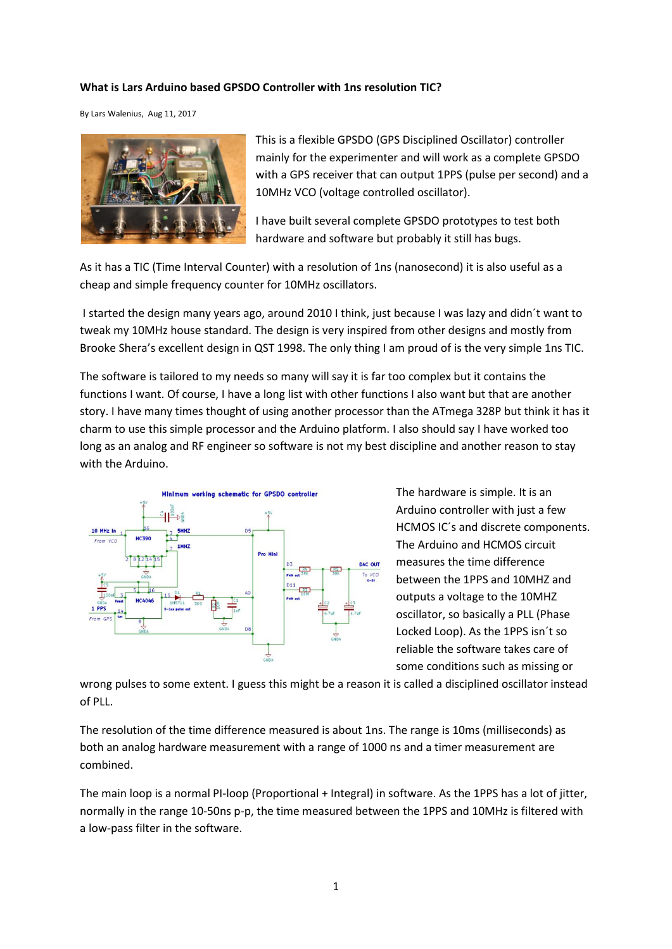#### **What is Lars Arduino based GPSDO Controller with 1ns resolution TIC?**

By Lars Walenius, Aug 11, 2017



This is a flexible GPSDO (GPS Disciplined Oscillator) controller mainly for the experimenter and will work as a complete GPSDO with a GPS receiver that can output 1PPS (pulse per second) and a 10MHz VCO (voltage controlled oscillator).

I have built several complete GPSDO prototypes to test both hardware and software but probably it still has bugs.

As it has a TIC (Time Interval Counter) with a resolution of 1ns (nanosecond) it is also useful as a cheap and simple frequency counter for 10MHz oscillators.

I started the design many years ago, around 2010 I think, just because I was lazy and didn´t want to tweak my 10MHz house standard. The design is very inspired from other designs and mostly from Brooke Shera's excellent design in QST 1998. The only thing I am proud of is the very simple 1ns TIC.

The software is tailored to my needs so many will say it is far too complex but it contains the functions I want. Of course, I have a long list with other functions I also want but that are another story. I have many times thought of using another processor than the ATmega 328P but think it has it charm to use this simple processor and the Arduino platform. I also should say I have worked too long as an analog and RF engineer so software is not my best discipline and another reason to stay with the Arduino.



The hardware is simple. It is an Arduino controller with just a few HCMOS IC´s and discrete components. The Arduino and HCMOS circuit measures the time difference between the 1PPS and 10MHZ and outputs a voltage to the 10MHZ oscillator, so basically a PLL (Phase Locked Loop). As the 1PPS isn´t so reliable the software takes care of some conditions such as missing or

wrong pulses to some extent. I guess this might be a reason it is called a disciplined oscillator instead of PLL.

The resolution of the time difference measured is about 1ns. The range is 10ms (milliseconds) as both an analog hardware measurement with a range of 1000 ns and a timer measurement are combined.

The main loop is a normal PI-loop (Proportional + Integral) in software. As the 1PPS has a lot of jitter, normally in the range 10-50ns p-p, the time measured between the 1PPS and 10MHz is filtered with a low-pass filter in the software.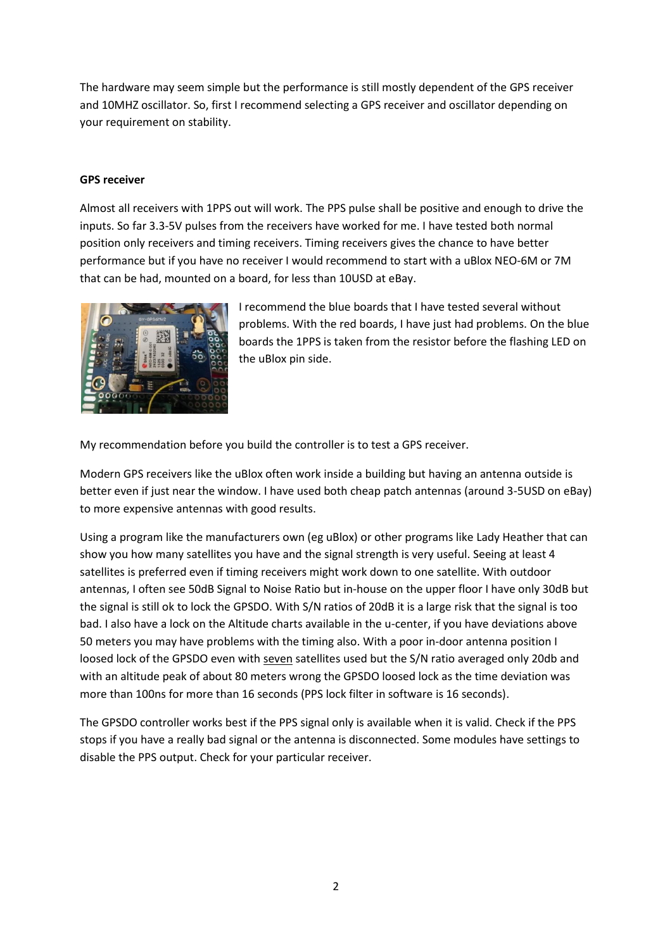The hardware may seem simple but the performance is still mostly dependent of the GPS receiver and 10MHZ oscillator. So, first I recommend selecting a GPS receiver and oscillator depending on your requirement on stability.

## **GPS receiver**

Almost all receivers with 1PPS out will work. The PPS pulse shall be positive and enough to drive the inputs. So far 3.3-5V pulses from the receivers have worked for me. I have tested both normal position only receivers and timing receivers. Timing receivers gives the chance to have better performance but if you have no receiver I would recommend to start with a uBlox NEO-6M or 7M that can be had, mounted on a board, for less than 10USD at eBay.



I recommend the blue boards that I have tested several without problems. With the red boards, I have just had problems. On the blue boards the 1PPS is taken from the resistor before the flashing LED on the uBlox pin side.

My recommendation before you build the controller is to test a GPS receiver.

Modern GPS receivers like the uBlox often work inside a building but having an antenna outside is better even if just near the window. I have used both cheap patch antennas (around 3-5USD on eBay) to more expensive antennas with good results.

Using a program like the manufacturers own (eg uBlox) or other programs like Lady Heather that can show you how many satellites you have and the signal strength is very useful. Seeing at least 4 satellites is preferred even if timing receivers might work down to one satellite. With outdoor antennas, I often see 50dB Signal to Noise Ratio but in-house on the upper floor I have only 30dB but the signal is still ok to lock the GPSDO. With S/N ratios of 20dB it is a large risk that the signal is too bad. I also have a lock on the Altitude charts available in the u-center, if you have deviations above 50 meters you may have problems with the timing also. With a poor in-door antenna position I loosed lock of the GPSDO even with seven satellites used but the S/N ratio averaged only 20db and with an altitude peak of about 80 meters wrong the GPSDO loosed lock as the time deviation was more than 100ns for more than 16 seconds (PPS lock filter in software is 16 seconds).

The GPSDO controller works best if the PPS signal only is available when it is valid. Check if the PPS stops if you have a really bad signal or the antenna is disconnected. Some modules have settings to disable the PPS output. Check for your particular receiver.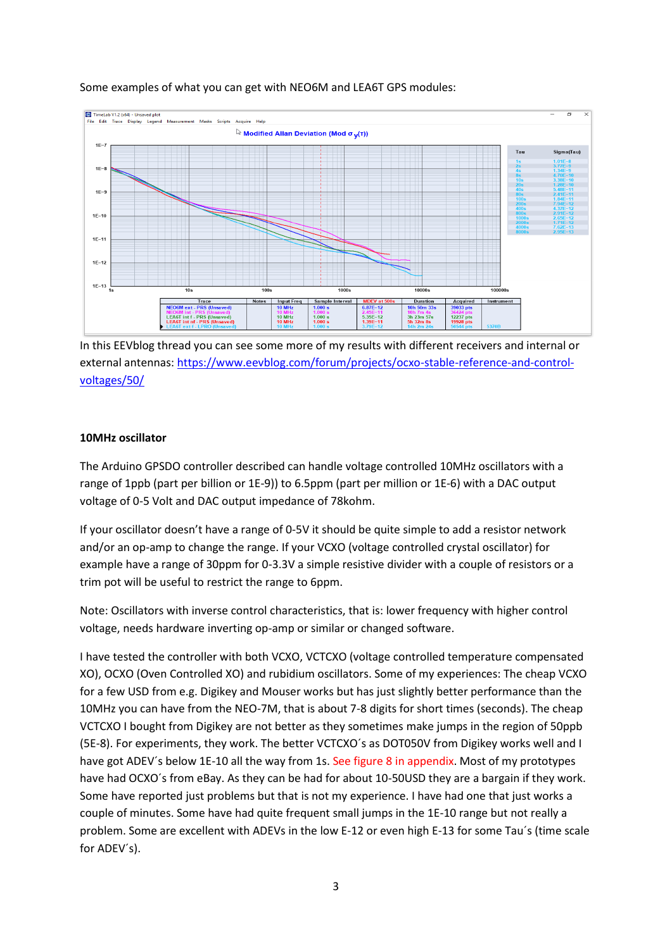

# Some examples of what you can get with NEO6M and LEA6T GPS modules:

In this EEVblog thread you can see some more of my results with different receivers and internal or external antennas: [https://www.eevblog.com/forum/projects/ocxo-stable-reference-and-control](https://www.eevblog.com/forum/projects/ocxo-stable-reference-and-control-voltages/50/)[voltages/50/](https://www.eevblog.com/forum/projects/ocxo-stable-reference-and-control-voltages/50/)

# **10MHz oscillator**

The Arduino GPSDO controller described can handle voltage controlled 10MHz oscillators with a range of 1ppb (part per billion or 1E-9)) to 6.5ppm (part per million or 1E-6) with a DAC output voltage of 0-5 Volt and DAC output impedance of 78kohm.

If your oscillator doesn't have a range of 0-5V it should be quite simple to add a resistor network and/or an op-amp to change the range. If your VCXO (voltage controlled crystal oscillator) for example have a range of 30ppm for 0-3.3V a simple resistive divider with a couple of resistors or a trim pot will be useful to restrict the range to 6ppm.

Note: Oscillators with inverse control characteristics, that is: lower frequency with higher control voltage, needs hardware inverting op-amp or similar or changed software.

I have tested the controller with both VCXO, VCTCXO (voltage controlled temperature compensated XO), OCXO (Oven Controlled XO) and rubidium oscillators. Some of my experiences: The cheap VCXO for a few USD from e.g. Digikey and Mouser works but has just slightly better performance than the 10MHz you can have from the NEO-7M, that is about 7-8 digits for short times (seconds). The cheap VCTCXO I bought from Digikey are not better as they sometimes make jumps in the region of 50ppb (5E-8). For experiments, they work. The better VCTCXO´s as DOT050V from Digikey works well and I have got ADEV's below 1E-10 all the way from 1s. See figure 8 in appendix. Most of my prototypes have had OCXO´s from eBay. As they can be had for about 10-50USD they are a bargain if they work. Some have reported just problems but that is not my experience. I have had one that just works a couple of minutes. Some have had quite frequent small jumps in the 1E-10 range but not really a problem. Some are excellent with ADEVs in the low E-12 or even high E-13 for some Tau´s (time scale for ADEV´s).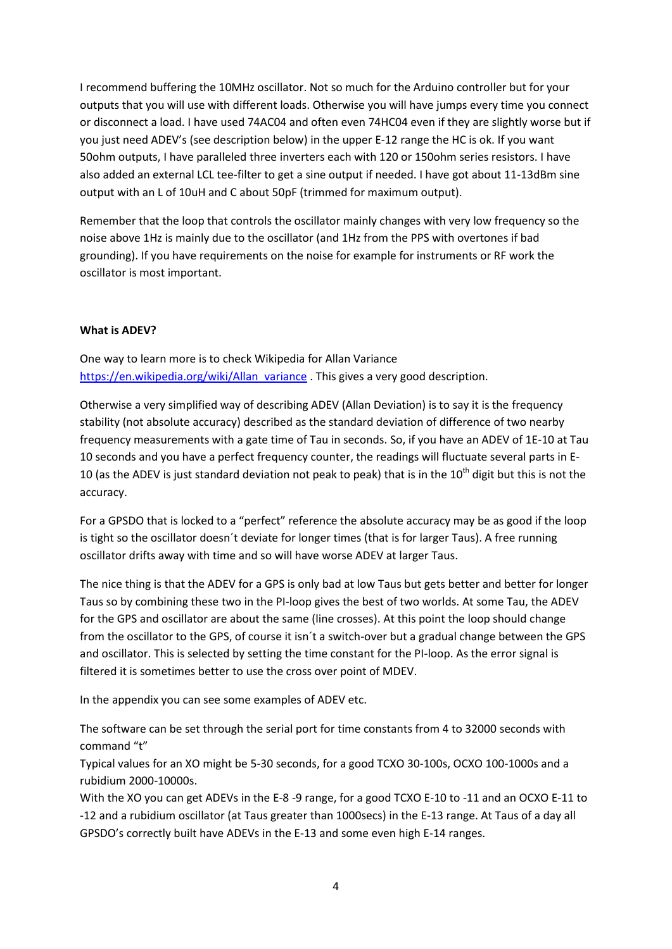I recommend buffering the 10MHz oscillator. Not so much for the Arduino controller but for your outputs that you will use with different loads. Otherwise you will have jumps every time you connect or disconnect a load. I have used 74AC04 and often even 74HC04 even if they are slightly worse but if you just need ADEV's (see description below) in the upper E-12 range the HC is ok. If you want 50ohm outputs, I have paralleled three inverters each with 120 or 150ohm series resistors. I have also added an external LCL tee-filter to get a sine output if needed. I have got about 11-13dBm sine output with an L of 10uH and C about 50pF (trimmed for maximum output).

Remember that the loop that controls the oscillator mainly changes with very low frequency so the noise above 1Hz is mainly due to the oscillator (and 1Hz from the PPS with overtones if bad grounding). If you have requirements on the noise for example for instruments or RF work the oscillator is most important.

## **What is ADEV?**

One way to learn more is to check Wikipedia for Allan Variance [https://en.wikipedia.org/wiki/Allan\\_variance](https://en.wikipedia.org/wiki/Allan_variance) . This gives a very good description.

Otherwise a very simplified way of describing ADEV (Allan Deviation) is to say it is the frequency stability (not absolute accuracy) described as the standard deviation of difference of two nearby frequency measurements with a gate time of Tau in seconds. So, if you have an ADEV of 1E-10 at Tau 10 seconds and you have a perfect frequency counter, the readings will fluctuate several parts in E-10 (as the ADEV is just standard deviation not peak to peak) that is in the  $10^{th}$  digit but this is not the accuracy.

For a GPSDO that is locked to a "perfect" reference the absolute accuracy may be as good if the loop is tight so the oscillator doesn´t deviate for longer times (that is for larger Taus). A free running oscillator drifts away with time and so will have worse ADEV at larger Taus.

The nice thing is that the ADEV for a GPS is only bad at low Taus but gets better and better for longer Taus so by combining these two in the PI-loop gives the best of two worlds. At some Tau, the ADEV for the GPS and oscillator are about the same (line crosses). At this point the loop should change from the oscillator to the GPS, of course it isn´t a switch-over but a gradual change between the GPS and oscillator. This is selected by setting the time constant for the PI-loop. As the error signal is filtered it is sometimes better to use the cross over point of MDEV.

In the appendix you can see some examples of ADEV etc.

The software can be set through the serial port for time constants from 4 to 32000 seconds with command "t"

Typical values for an XO might be 5-30 seconds, for a good TCXO 30-100s, OCXO 100-1000s and a rubidium 2000-10000s.

With the XO you can get ADEVs in the E-8 -9 range, for a good TCXO E-10 to -11 and an OCXO E-11 to -12 and a rubidium oscillator (at Taus greater than 1000secs) in the E-13 range. At Taus of a day all GPSDO's correctly built have ADEVs in the E-13 and some even high E-14 ranges.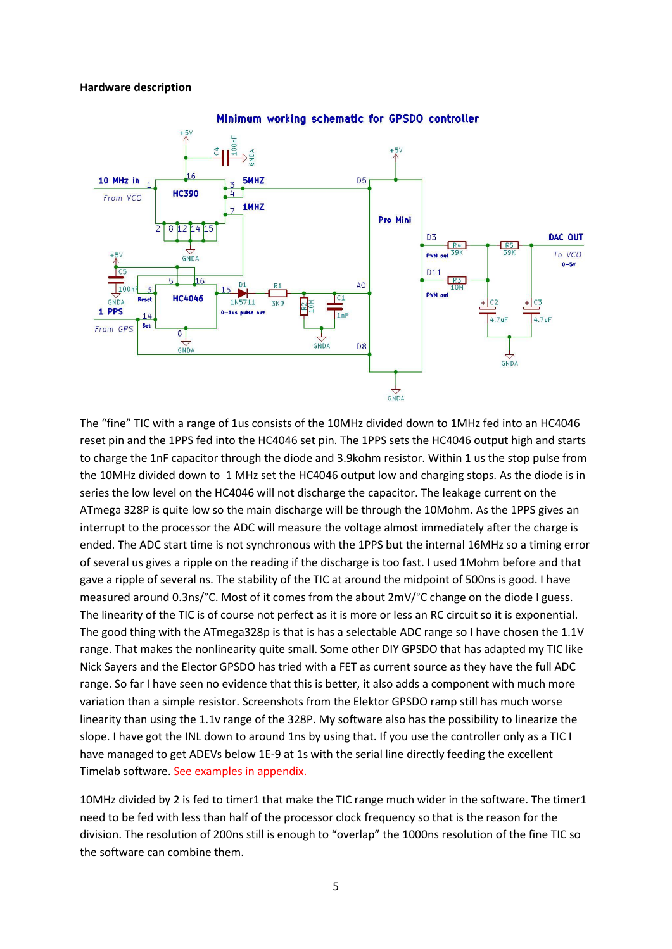#### **Hardware description**



Minimum working schematic for GPSDO controller

The "fine" TIC with a range of 1us consists of the 10MHz divided down to 1MHz fed into an HC4046 reset pin and the 1PPS fed into the HC4046 set pin. The 1PPS sets the HC4046 output high and starts to charge the 1nF capacitor through the diode and 3.9kohm resistor. Within 1 us the stop pulse from the 10MHz divided down to 1 MHz set the HC4046 output low and charging stops. As the diode is in series the low level on the HC4046 will not discharge the capacitor. The leakage current on the ATmega 328P is quite low so the main discharge will be through the 10Mohm. As the 1PPS gives an interrupt to the processor the ADC will measure the voltage almost immediately after the charge is ended. The ADC start time is not synchronous with the 1PPS but the internal 16MHz so a timing error of several us gives a ripple on the reading if the discharge is too fast. I used 1Mohm before and that gave a ripple of several ns. The stability of the TIC at around the midpoint of 500ns is good. I have measured around 0.3ns/°C. Most of it comes from the about 2mV/°C change on the diode I guess. The linearity of the TIC is of course not perfect as it is more or less an RC circuit so it is exponential. The good thing with the ATmega328p is that is has a selectable ADC range so I have chosen the 1.1V range. That makes the nonlinearity quite small. Some other DIY GPSDO that has adapted my TIC like Nick Sayers and the Elector GPSDO has tried with a FET as current source as they have the full ADC range. So far I have seen no evidence that this is better, it also adds a component with much more variation than a simple resistor. Screenshots from the Elektor GPSDO ramp still has much worse linearity than using the 1.1v range of the 328P. My software also has the possibility to linearize the slope. I have got the INL down to around 1ns by using that. If you use the controller only as a TIC I have managed to get ADEVs below 1E-9 at 1s with the serial line directly feeding the excellent Timelab software. See examples in appendix.

10MHz divided by 2 is fed to timer1 that make the TIC range much wider in the software. The timer1 need to be fed with less than half of the processor clock frequency so that is the reason for the division. The resolution of 200ns still is enough to "overlap" the 1000ns resolution of the fine TIC so the software can combine them.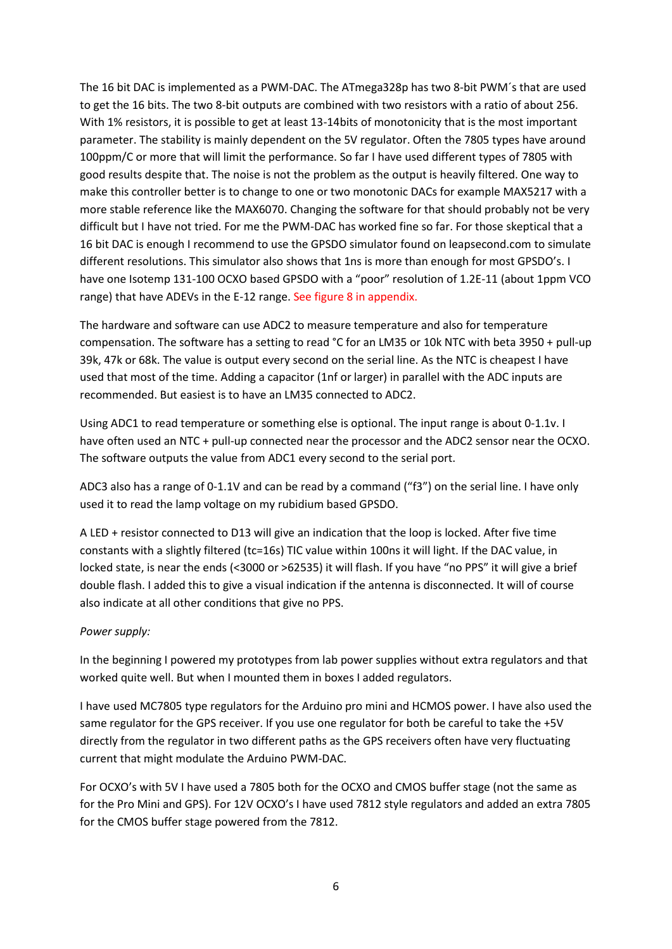The 16 bit DAC is implemented as a PWM-DAC. The ATmega328p has two 8-bit PWM´s that are used to get the 16 bits. The two 8-bit outputs are combined with two resistors with a ratio of about 256. With 1% resistors, it is possible to get at least 13-14bits of monotonicity that is the most important parameter. The stability is mainly dependent on the 5V regulator. Often the 7805 types have around 100ppm/C or more that will limit the performance. So far I have used different types of 7805 with good results despite that. The noise is not the problem as the output is heavily filtered. One way to make this controller better is to change to one or two monotonic DACs for example MAX5217 with a more stable reference like the MAX6070. Changing the software for that should probably not be very difficult but I have not tried. For me the PWM-DAC has worked fine so far. For those skeptical that a 16 bit DAC is enough I recommend to use the GPSDO simulator found on leapsecond.com to simulate different resolutions. This simulator also shows that 1ns is more than enough for most GPSDO's. I have one Isotemp 131-100 OCXO based GPSDO with a "poor" resolution of 1.2E-11 (about 1ppm VCO range) that have ADEVs in the E-12 range. See figure 8 in appendix.

The hardware and software can use ADC2 to measure temperature and also for temperature compensation. The software has a setting to read °C for an LM35 or 10k NTC with beta 3950 + pull-up 39k, 47k or 68k. The value is output every second on the serial line. As the NTC is cheapest I have used that most of the time. Adding a capacitor (1nf or larger) in parallel with the ADC inputs are recommended. But easiest is to have an LM35 connected to ADC2.

Using ADC1 to read temperature or something else is optional. The input range is about 0-1.1v. I have often used an NTC + pull-up connected near the processor and the ADC2 sensor near the OCXO. The software outputs the value from ADC1 every second to the serial port.

ADC3 also has a range of 0-1.1V and can be read by a command ("f3") on the serial line. I have only used it to read the lamp voltage on my rubidium based GPSDO.

A LED + resistor connected to D13 will give an indication that the loop is locked. After five time constants with a slightly filtered (tc=16s) TIC value within 100ns it will light. If the DAC value, in locked state, is near the ends (<3000 or >62535) it will flash. If you have "no PPS" it will give a brief double flash. I added this to give a visual indication if the antenna is disconnected. It will of course also indicate at all other conditions that give no PPS.

# *Power supply:*

In the beginning I powered my prototypes from lab power supplies without extra regulators and that worked quite well. But when I mounted them in boxes I added regulators.

I have used MC7805 type regulators for the Arduino pro mini and HCMOS power. I have also used the same regulator for the GPS receiver. If you use one regulator for both be careful to take the +5V directly from the regulator in two different paths as the GPS receivers often have very fluctuating current that might modulate the Arduino PWM-DAC.

For OCXO's with 5V I have used a 7805 both for the OCXO and CMOS buffer stage (not the same as for the Pro Mini and GPS). For 12V OCXO's I have used 7812 style regulators and added an extra 7805 for the CMOS buffer stage powered from the 7812.